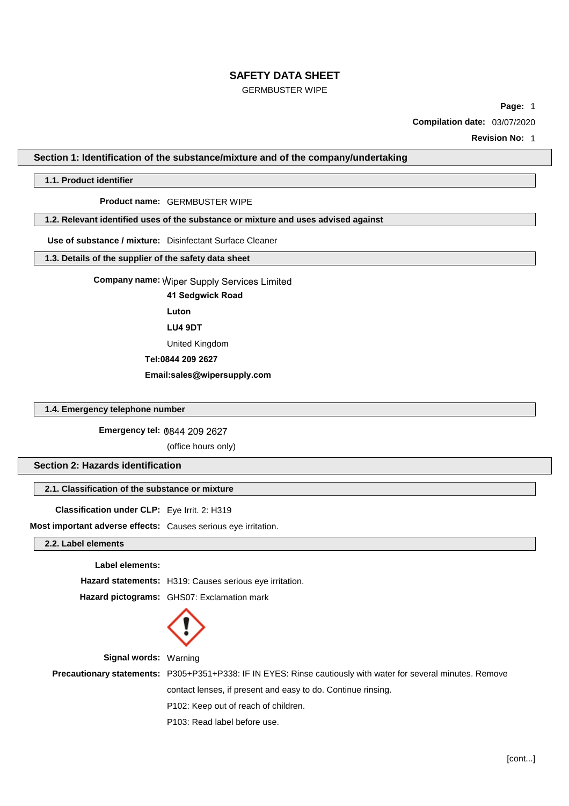# GERMBUSTER WIPE

**Page:** 1

**Compilation date:** 03/07/2020

**Revision No:** 1

**Section 1: Identification of the substance/mixture and of the company/undertaking**

## **1.1. Product identifier**

## **Product name:** GERMBUSTER WIPE

## **1.2. Relevant identified uses of the substance or mixture and uses advised against**

**Use of substance / mixture:** Disinfectant Surface Cleaner

## **1.3. Details of the supplier of the safety data sheet**

**Company name: Wiper** Wiper Supply Services Limited

**41 Sedgwick Road**

**Luton**

**LU4 9DT**

United Kingdom

**Tel:0844 209 2627**

**Email:sales@wipersupply.com**

# **1.4. Emergency telephone number**

**Emergency tel: 08** 0844 209 2627

(office hours only)

# **Section 2: Hazards identification**

# **2.1. Classification of the substance or mixture**

**Classification under CLP:** Eye Irrit. 2: H319

**Most important adverse effects:** Causes serious eye irritation.

## **2.2. Label elements**

#### **Label elements:**

**Hazard statements:** H319: Causes serious eye irritation. **Hazard pictograms:** GHS07: Exclamation mark



**Signal words:** Warning

**Precautionary statements:** P305+P351+P338: IF IN EYES: Rinse cautiously with water for several minutes. Remove

contact lenses, if present and easy to do. Continue rinsing.

P102: Keep out of reach of children.

P103: Read label before use.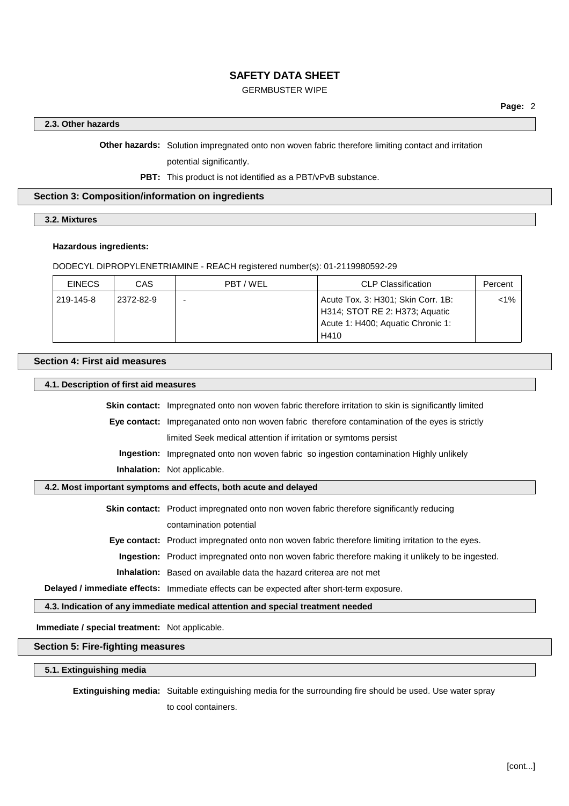# GERMBUSTER WIPE

## **2.3. Other hazards**

**Other hazards:** Solution impregnated onto non woven fabric therefore limiting contact and irritation

potential significantly.

**PBT:** This product is not identified as a PBT/vPvB substance.

## **Section 3: Composition/information on ingredients**

### **3.2. Mixtures**

### **Hazardous ingredients:**

DODECYL DIPROPYLENETRIAMINE - REACH registered number(s): 01-2119980592-29

| <b>EINECS</b> | CAS       | PBT/WEL | CLP Classification                                                                                                | Percent |
|---------------|-----------|---------|-------------------------------------------------------------------------------------------------------------------|---------|
| 219-145-8     | 2372-82-9 |         | Acute Tox. 3: H301; Skin Corr. 1B:<br>H314; STOT RE 2: H373; Aquatic<br>Acute 1: H400; Aquatic Chronic 1:<br>H410 | <1%     |

## **Section 4: First aid measures**

**4.1. Description of first aid measures**

**Skin contact:** Impregnated onto non woven fabric therefore irritation to skin is significantly limited **Eye contact:** Impreganated onto non woven fabric therefore contamination of the eyes is strictly limited Seek medical attention if irritation or symtoms persist **Ingestion:** Impregnated onto non woven fabric so ingestion contamination Highly unlikely

**Inhalation:** Not applicable.

## **4.2. Most important symptoms and effects, both acute and delayed**

**Skin contact:** Product impregnated onto non woven fabric therefore significantly reducing contamination potential

**Eye contact:** Product impregnated onto non woven fabric therefore limiting irritation to the eyes.

**Ingestion:** Product impregnated onto non woven fabric therefore making it unlikely to be ingested.

**Inhalation:** Based on available data the hazard criterea are not met

**Delayed / immediate effects:** Immediate effects can be expected after short-term exposure.

**4.3. Indication of any immediate medical attention and special treatment needed**

**Immediate / special treatment:** Not applicable.

# **Section 5: Fire-fighting measures**

**5.1. Extinguishing media**

**Extinguishing media:** Suitable extinguishing media for the surrounding fire should be used. Use water spray

to cool containers.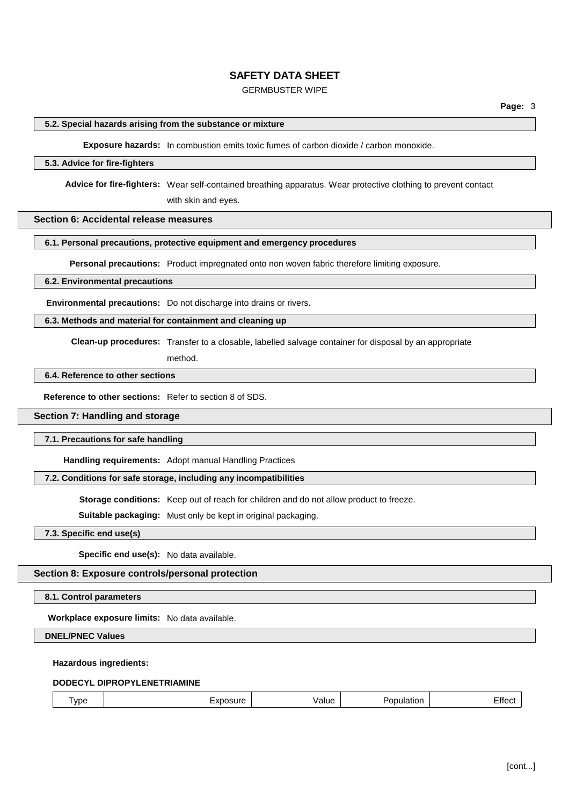# GERMBUSTER WIPE

## **5.2. Special hazards arising from the substance or mixture**

**Exposure hazards:** In combustion emits toxic fumes of carbon dioxide / carbon monoxide.

### **5.3. Advice for fire-fighters**

**Advice for fire-fighters:** Wear self-contained breathing apparatus. Wear protective clothing to prevent contact

with skin and eyes.

# **Section 6: Accidental release measures**

# **6.1. Personal precautions, protective equipment and emergency procedures**

**Personal precautions:** Product impregnated onto non woven fabric therefore limiting exposure.

### **6.2. Environmental precautions**

**Environmental precautions:** Do not discharge into drains or rivers.

## **6.3. Methods and material for containment and cleaning up**

**Clean-up procedures:** Transfer to a closable, labelled salvage container for disposal by an appropriate

method.

## **6.4. Reference to other sections**

**Reference to other sections:** Refer to section 8 of SDS.

## **Section 7: Handling and storage**

## **7.1. Precautions for safe handling**

**Handling requirements:** Adopt manual Handling Practices

# **7.2. Conditions for safe storage, including any incompatibilities**

**Storage conditions:** Keep out of reach for children and do not allow product to freeze.

**Suitable packaging:** Must only be kept in original packaging.

**7.3. Specific end use(s)**

**Specific end use(s):** No data available.

## **Section 8: Exposure controls/personal protection**

**8.1. Control parameters**

**Workplace exposure limits:** No data available.

**DNEL/PNEC Values**

### **Hazardous ingredients:**

## **DODECYL DIPROPYLENETRIAMINE**

|  | vpe | 71150<br><b>B 430</b><br>'NULL | าเนe | ΩТ |  |
|--|-----|--------------------------------|------|----|--|
|--|-----|--------------------------------|------|----|--|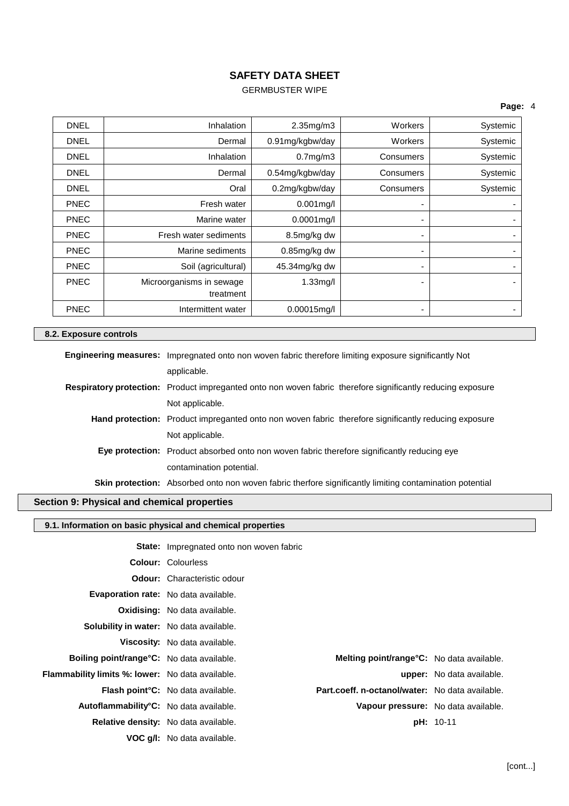# GERMBUSTER WIPE

# **Page:** 4

| <b>DNEL</b> | Inhalation               | 2.35mg/m3       | Workers   | Systemic |
|-------------|--------------------------|-----------------|-----------|----------|
| <b>DNEL</b> | Dermal                   | 0.91mg/kgbw/day | Workers   | Systemic |
| <b>DNEL</b> | Inhalation               | 0.7mg/m3        | Consumers | Systemic |
| DNEL        | Dermal                   | 0.54mg/kgbw/day | Consumers | Systemic |
| <b>DNEL</b> | Oral                     | 0.2mg/kgbw/day  | Consumers | Systemic |
| <b>PNEC</b> | Fresh water              | $0.001$ mg/l    |           |          |
| <b>PNEC</b> | Marine water             | $0.0001$ mg/l   |           |          |
| <b>PNEC</b> | Fresh water sediments    | 8.5mg/kg dw     |           |          |
| <b>PNEC</b> | Marine sediments         | 0.85mg/kg dw    |           | ۰        |
| <b>PNEC</b> | Soil (agricultural)      | 45.34mg/kg dw   |           |          |
| <b>PNEC</b> | Microorganisms in sewage | $1.33$ mg/l     |           |          |
|             | treatment                |                 |           |          |
| <b>PNEC</b> | Intermittent water       | $0.00015$ mg/l  |           |          |

# **8.2. Exposure controls**

| <b>Engineering measures:</b> Impregnated onto non woven fabric therefore limiting exposure significantly Not       |
|--------------------------------------------------------------------------------------------------------------------|
| applicable.                                                                                                        |
| <b>Respiratory protection:</b> Product impreganted onto non woven fabric therefore significantly reducing exposure |
| Not applicable.                                                                                                    |
| <b>Hand protection:</b> Product impreganted onto non woven fabric therefore significantly reducing exposure        |
| Not applicable.                                                                                                    |
| Eye protection: Product absorbed onto non woven fabric therefore significantly reducing eye                        |
| contamination potential.                                                                                           |
| <b>Skin protection:</b> Absorbed onto non woven fabric therfore significantly limiting contamination potential     |

# **Section 9: Physical and chemical properties**

# **9.1. Information on basic physical and chemical properties**

|                                                     | <b>State:</b> Impregnated onto non woven fabric |                                                   |                                  |
|-----------------------------------------------------|-------------------------------------------------|---------------------------------------------------|----------------------------------|
|                                                     | <b>Colour: Colourless</b>                       |                                                   |                                  |
|                                                     | <b>Odour:</b> Characteristic odour              |                                                   |                                  |
| <b>Evaporation rate:</b> No data available.         |                                                 |                                                   |                                  |
|                                                     | <b>Oxidising:</b> No data available.            |                                                   |                                  |
| <b>Solubility in water:</b> No data available.      |                                                 |                                                   |                                  |
|                                                     | <b>Viscosity:</b> No data available.            |                                                   |                                  |
| <b>Boiling point/range °C:</b> No data available.   |                                                 | <b>Melting point/range °C:</b> No data available. |                                  |
| Flammability limits %: lower: No data available.    |                                                 |                                                   | <b>upper:</b> No data available. |
|                                                     | <b>Flash point °C:</b> No data available.       | Part.coeff. n-octanol/water: No data available.   |                                  |
| Autoflammability <sup>°</sup> C: No data available. |                                                 | Vapour pressure: No data available.               |                                  |
| Relative density: No data available.                |                                                 |                                                   | <b>pH:</b> 10-11                 |
|                                                     | <b>VOC g/l:</b> No data available.              |                                                   |                                  |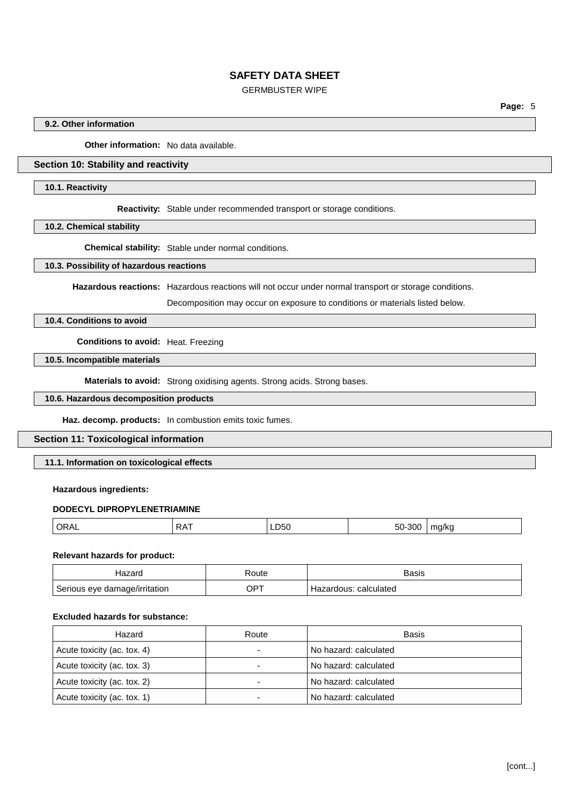# GERMBUSTER WIPE

**Page:** 5

## **9.2. Other information**

**Other information:** No data available.

# **Section 10: Stability and reactivity**

### **10.1. Reactivity**

**Reactivity:** Stable under recommended transport or storage conditions.

**10.2. Chemical stability**

**Chemical stability:** Stable under normal conditions.

### **10.3. Possibility of hazardous reactions**

**Hazardous reactions:** Hazardous reactions will not occur under normal transport or storage conditions.

Decomposition may occur on exposure to conditions or materials listed below.

# **10.4. Conditions to avoid**

**Conditions to avoid:** Heat. Freezing

# **10.5. Incompatible materials**

**Materials to avoid:** Strong oxidising agents. Strong acids. Strong bases.

# **10.6. Hazardous decomposition products**

**Haz. decomp. products:** In combustion emits toxic fumes.

## **Section 11: Toxicological information**

# **11.1. Information on toxicological effects**

## **Hazardous ingredients:**

## **DODECYL DIPROPYLENETRIAMINE**

| ∩⊾<br>₩ | $\mathbf{v}$<br>.<br>. | י<br>ັ<br>____ | $\sim$ $\sim$<br>.31 K<br>ou | ma/ko<br>◡ |
|---------|------------------------|----------------|------------------------------|------------|
|         |                        |                |                              |            |

### **Relevant hazards for product:**

| lazard                        | ≺oute | 3asis                 |
|-------------------------------|-------|-----------------------|
| Serious eye damage/irritation | .)P   | Hazardous: calculated |

## **Excluded hazards for substance:**

| Hazard                      | Route | Basis                 |
|-----------------------------|-------|-----------------------|
| Acute toxicity (ac. tox. 4) |       | No hazard: calculated |
| Acute toxicity (ac. tox. 3) |       | No hazard: calculated |
| Acute toxicity (ac. tox. 2) |       | No hazard: calculated |
| Acute toxicity (ac. tox. 1) |       | No hazard: calculated |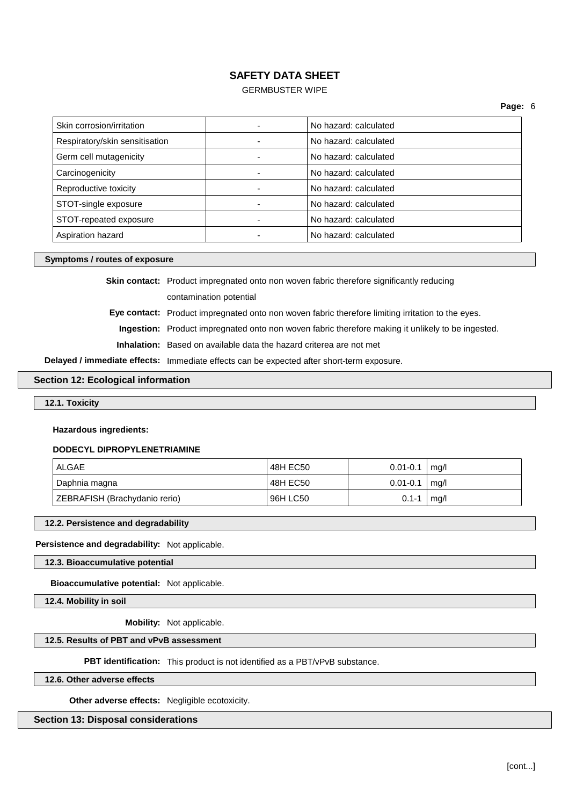# GERMBUSTER WIPE

| Skin corrosion/irritation      |  | No hazard: calculated |
|--------------------------------|--|-----------------------|
| Respiratory/skin sensitisation |  | No hazard: calculated |
| Germ cell mutagenicity         |  | No hazard: calculated |
| Carcinogenicity                |  | No hazard: calculated |
| Reproductive toxicity          |  | No hazard: calculated |
| STOT-single exposure           |  | No hazard: calculated |
| STOT-repeated exposure         |  | No hazard: calculated |
| Aspiration hazard              |  | No hazard: calculated |

### **Symptoms / routes of exposure**

**Skin contact:** Product impregnated onto non woven fabric therefore significantly reducing contamination potential

**Eye contact:** Product impregnated onto non woven fabric therefore limiting irritation to the eyes.

**Ingestion:** Product impregnated onto non woven fabric therefore making it unlikely to be ingested.

**Inhalation:** Based on available data the hazard criterea are not met

**Delayed / immediate effects:** Immediate effects can be expected after short-term exposure.

## **Section 12: Ecological information**

**12.1. Toxicity**

### **Hazardous ingredients:**

### **DODECYL DIPROPYLENETRIAMINE**

| ALGAE                         | 48H EC50 | $0.01 - 0.1$ | ma/l |
|-------------------------------|----------|--------------|------|
| Daphnia magna                 | 48H EC50 | $0.01 - 0.1$ | mq/l |
| ZEBRAFISH (Brachydanio rerio) | 96H LC50 | $0.1 - 1$    | mg/l |

### **12.2. Persistence and degradability**

**Persistence and degradability:** Not applicable.

**12.3. Bioaccumulative potential**

**Bioaccumulative potential:** Not applicable.

**12.4. Mobility in soil**

**Mobility:** Not applicable.

## **12.5. Results of PBT and vPvB assessment**

**PBT identification:** This product is not identified as a PBT/vPvB substance.

**12.6. Other adverse effects**

**Other adverse effects:** Negligible ecotoxicity.

**Section 13: Disposal considerations**